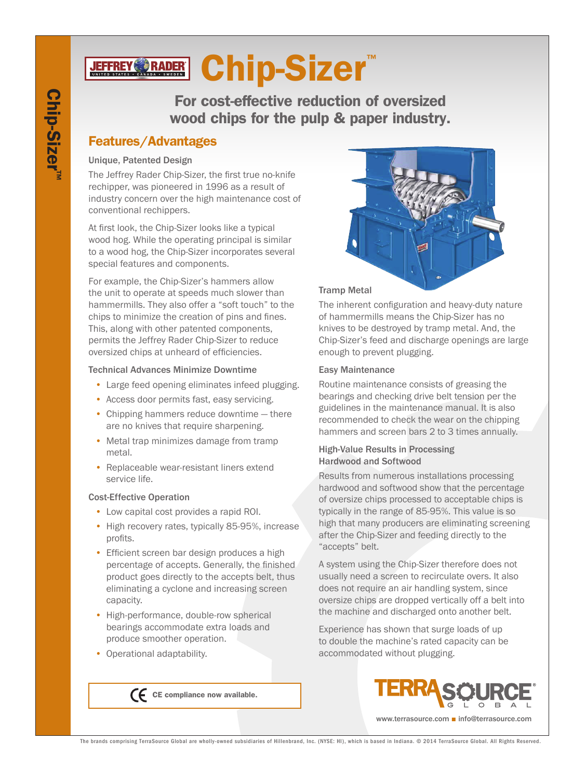# **JEFFREY©RADER Chip-Sizer™**

For cost-effective reduction of oversized wood chips for the pulp & paper industry.

## Features/Advantages

#### Unique, Patented Design

The Jeffrey Rader Chip-Sizer, the first true no-knife rechipper, was pioneered in 1996 as a result of industry concern over the high maintenance cost of conventional rechippers.

At first look, the Chip-Sizer looks like a typical wood hog. While the operating principal is similar to a wood hog, the Chip-Sizer incorporates several special features and components.

For example, the Chip-Sizer's hammers allow the unit to operate at speeds much slower than hammermills. They also offer a "soft touch" to the chips to minimize the creation of pins and fines. This, along with other patented components, permits the Jeffrey Rader Chip-Sizer to reduce oversized chips at unheard of efficiencies.

#### Technical Advances Minimize Downtime

- Large feed opening eliminates infeed plugging.
- Access door permits fast, easy servicing.
- Chipping hammers reduce downtime there are no knives that require sharpening.
- Metal trap minimizes damage from tramp metal.
- Replaceable wear-resistant liners extend service life.

#### Cost-Effective Operation

- Low capital cost provides a rapid ROI.
- High recovery rates, typically 85-95%, increase profits.
- Efficient screen bar design produces a high percentage of accepts. Generally, the finished product goes directly to the accepts belt, thus eliminating a cyclone and increasing screen capacity.
- High-performance, double-row spherical bearings accommodate extra loads and produce smoother operation.

 $\bigcap$  CE compliance now available.

• Operational adaptability.



#### Tramp Metal

The inherent configuration and heavy-duty nature of hammermills means the Chip-Sizer has no knives to be destroyed by tramp metal. And, the Chip-Sizer's feed and discharge openings are large enough to prevent plugging.

#### Easy Maintenance

Routine maintenance consists of greasing the bearings and checking drive belt tension per the guidelines in the maintenance manual. It is also recommended to check the wear on the chipping hammers and screen bars 2 to 3 times annually.

#### High-Value Results in Processing Hardwood and Softwood

Results from numerous installations processing hardwood and softwood show that the percentage of oversize chips processed to acceptable chips is typically in the range of 85-95%. This value is so high that many producers are eliminating screening after the Chip-Sizer and feeding directly to the "accepts" belt.

A system using the Chip-Sizer therefore does not usually need a screen to recirculate overs. It also does not require an air handling system, since oversize chips are dropped vertically off a belt into the machine and discharged onto another belt.

Experience has shown that surge loads of up to double the machine's rated capacity can be accommodated without plugging.



www.terrasource.com ■ info@terrasource.com

The brands comprising TerraSource Global are wholly-owned subsidiaries of Hillenbrand, Inc. (NYSE: HI), which is based in Indiana. © 2014 TerraSource Global. All Rights Reserved.